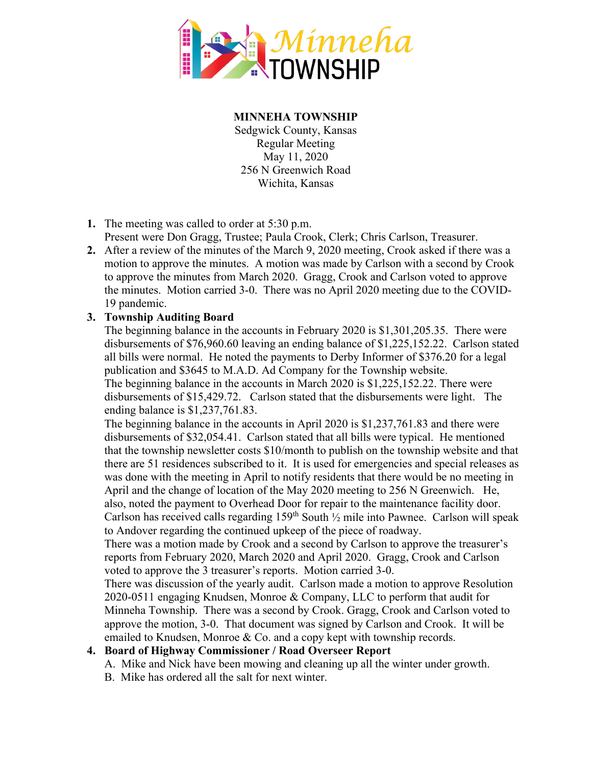

**MINNEHA TOWNSHIP**

Sedgwick County, Kansas Regular Meeting May 11, 2020 256 N Greenwich Road Wichita, Kansas

- **1.** The meeting was called to order at 5:30 p.m.
	- Present were Don Gragg, Trustee; Paula Crook, Clerk; Chris Carlson, Treasurer.
- **2.** After a review of the minutes of the March 9, 2020 meeting, Crook asked if there was a motion to approve the minutes. A motion was made by Carlson with a second by Crook to approve the minutes from March 2020. Gragg, Crook and Carlson voted to approve the minutes. Motion carried 3-0. There was no April 2020 meeting due to the COVID-19 pandemic.

## **3. Township Auditing Board**

The beginning balance in the accounts in February 2020 is \$1,301,205.35. There were disbursements of \$76,960.60 leaving an ending balance of \$1,225,152.22. Carlson stated all bills were normal. He noted the payments to Derby Informer of \$376.20 for a legal publication and \$3645 to M.A.D. Ad Company for the Township website. The beginning balance in the accounts in March 2020 is \$1,225,152.22. There were disbursements of \$15,429.72. Carlson stated that the disbursements were light. The ending balance is \$1,237,761.83.

The beginning balance in the accounts in April 2020 is \$1,237,761.83 and there were disbursements of \$32,054.41. Carlson stated that all bills were typical. He mentioned that the township newsletter costs \$10/month to publish on the township website and that there are 51 residences subscribed to it. It is used for emergencies and special releases as was done with the meeting in April to notify residents that there would be no meeting in April and the change of location of the May 2020 meeting to 256 N Greenwich. He, also, noted the payment to Overhead Door for repair to the maintenance facility door. Carlson has received calls regarding  $159<sup>th</sup>$  South  $\frac{1}{2}$  mile into Pawnee. Carlson will speak to Andover regarding the continued upkeep of the piece of roadway.

There was a motion made by Crook and a second by Carlson to approve the treasurer's reports from February 2020, March 2020 and April 2020. Gragg, Crook and Carlson voted to approve the 3 treasurer's reports. Motion carried 3-0.

There was discussion of the yearly audit. Carlson made a motion to approve Resolution 2020-0511 engaging Knudsen, Monroe & Company, LLC to perform that audit for Minneha Township. There was a second by Crook. Gragg, Crook and Carlson voted to approve the motion, 3-0. That document was signed by Carlson and Crook. It will be emailed to Knudsen, Monroe & Co. and a copy kept with township records.

## **4. Board of Highway Commissioner / Road Overseer Report**

A. Mike and Nick have been mowing and cleaning up all the winter under growth.

B. Mike has ordered all the salt for next winter.